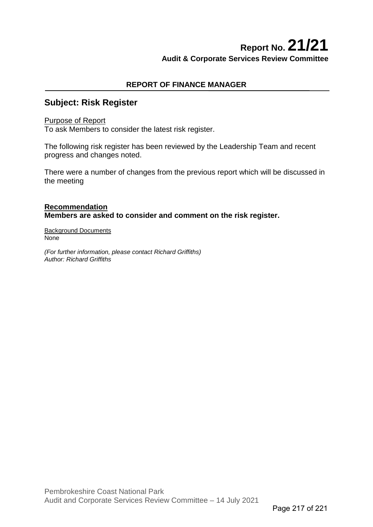# **Report No. 21/21 Audit & Corporate Services Review Committee**

# **REPORT OF FINANCE MANAGER**

# **Subject: Risk Register**

### Purpose of Report

To ask Members to consider the latest risk register.

The following risk register has been reviewed by the Leadership Team and recent progress and changes noted.

There were a number of changes from the previous report which will be discussed in the meeting

# **Recommendation Members are asked to consider and comment on the risk register.**

Background Documents None

*(For further information, please contact Richard Griffiths) Author: Richard Griffiths*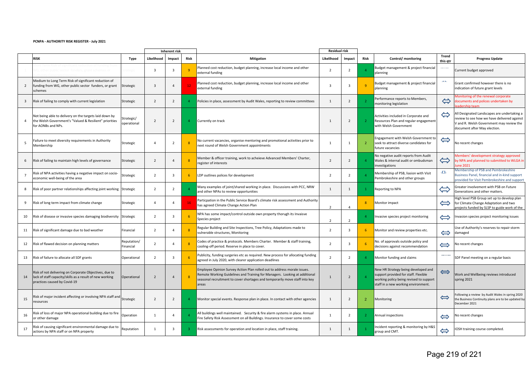#### **PCNPA - AUTHORITY RISK REGISTER - July 2021**

|                |                                                                                                                                                    |                          |                | Inherent risk  |                |                                                                                                                                                                                                                                                | <b>Residual risk</b> |                         |                |                                                                                                                                                               |                          |                                                                                                                                                                        |
|----------------|----------------------------------------------------------------------------------------------------------------------------------------------------|--------------------------|----------------|----------------|----------------|------------------------------------------------------------------------------------------------------------------------------------------------------------------------------------------------------------------------------------------------|----------------------|-------------------------|----------------|---------------------------------------------------------------------------------------------------------------------------------------------------------------|--------------------------|------------------------------------------------------------------------------------------------------------------------------------------------------------------------|
|                | <b>RISK</b>                                                                                                                                        | Type                     | Likelihood     | Impact         | Risk           | <b>Mitigation</b>                                                                                                                                                                                                                              | Likelihood<br>Impact |                         | Risk           | Control/ monitoring                                                                                                                                           | <b>Trend</b><br>this gtr | <b>Progress Update</b>                                                                                                                                                 |
|                |                                                                                                                                                    |                          | 3              | 3              | -9             | Planned cost reduction, budget planning, increase local income and other<br>external funding                                                                                                                                                   |                      | $\overline{2}$          | $\Delta$       | Budget management & project financial<br>planning                                                                                                             |                          | Current budget approved                                                                                                                                                |
| $\overline{2}$ | Medium to Long Term Risk of significant reduction of<br>funding from WG, other public sector funders, or grant<br>schemes                          | Strategic                | $\mathbf{3}$   | $\overline{4}$ | 12             | Planned cost reduction, budget planning, increase local income and other<br>external funding                                                                                                                                                   | $\overline{3}$       | $\overline{3}$          | $\overline{9}$ | Budget management & project financial<br>planning                                                                                                             | <b>ATA</b>               | Grant confirmed however there is no<br>indication of future grant levels                                                                                               |
| $\overline{3}$ | Risk of failing to comply with current legislation                                                                                                 | Strategic                | $\overline{2}$ | $\overline{2}$ |                | $\mathbf{1}$<br>Policies in place, assessment by Audit Wales, reporting to review committees                                                                                                                                                   |                      | $\overline{2}$          | $\overline{2}$ | Performance reports to Members,<br>nonitoring legislation                                                                                                     | $\Leftrightarrow$        | Monitoring of the renewal corporate<br>documents and polices undertaken by<br>adership team                                                                            |
| $\overline{4}$ | Not being able to delivery on the targets laid down by<br>the Welsh Government's "Valued & Resilient" priorities<br>for AONBs and NPs.             | trategic/<br>operational | $\overline{2}$ | $\overline{2}$ |                | Currently on track                                                                                                                                                                                                                             |                      | $\overline{2}$          | $\overline{2}$ | Activities included in Corporate and<br>Resources Plan and regular engagement<br>with Welsh Government                                                        | $\Leftrightarrow$        | All Designated Landscapes are undertaking a<br>review to see how we have delivered against<br>V and R. Welsh Government may review the<br>document after May election. |
| 5              | Failure to meet diversity requirements in Authority<br>Membership                                                                                  | Strategic                | $\overline{4}$ | $\overline{2}$ | 8              | No current vacancies, organise mentoring and promotional activities prior to<br>next round of Welsh Government appointments                                                                                                                    | $\mathbf{1}$         | $\mathbf{1}$            | $\overline{2}$ | Ingagement with Welsh Government to<br>seek to attract diverse candidates for<br>future vacancies                                                             | $\Leftrightarrow$        | No recent changes                                                                                                                                                      |
| 6              | Risk of failing to maintain high levels of governance                                                                                              | Strategic                | $\overline{2}$ | $\Delta$       | $\mathbf{R}$   | Member & officer training, work to acheieve Advanced Members' Charter,<br>register of interests                                                                                                                                                |                      | $\overline{2}$          | $\overline{4}$ | No negative audit reports from Audit<br>Wales & internal audit or ombudsman<br>nvestigations                                                                  | $\Leftrightarrow$        | Aembers' development strategy approved<br>by NPA and planned to submitted to WLGA in<br>une 2021                                                                       |
| $\overline{7}$ | Risk of NPA activities having a negative impact on socio-<br>economic well-being of the area                                                       | Strategic                | $\overline{2}$ | 3              | -6             | LDP outlines polices for development                                                                                                                                                                                                           |                      | $\overline{2}$          | $\overline{a}$ | Membership of PSB, liasion with Visit<br>Pembrokeshire and other groups                                                                                       | a.                       | Membership of PSB and Pembrokeshire<br>Business Panel, financial and in-kind support<br>provided for Visit Pembrokeshire and support                                   |
| 8              | Risk of poor partner relationships affecting joint working Strategic                                                                               |                          | $\overline{2}$ | $\overline{2}$ |                | Many examples of joint/shared working in place. Discussions with PCC, NRW<br>and other NPAs to review opportunities                                                                                                                            |                      | 1                       | $\mathbf{1}$   | Reporting to NPA                                                                                                                                              | $\Leftrightarrow$        | Greater involvement with PSB on Future<br>Generations and other matters.                                                                                               |
| 9              | Risk of long term impact from climate change                                                                                                       | Strategic                | $\overline{4}$ | 4              | 16             | Particpation in the Public Service Board's climate risk assessment and Authority<br>has agreed Climate Change Action Plan                                                                                                                      |                      | $\overline{a}$          | 8              | Monitor impact                                                                                                                                                | $\Leftrightarrow$        | High level PSB Group set up to develop plan<br>for Climate Change Adaptation and two<br>projects funded by SLSP to guide work of the                                   |
| 10             | Risk of disease or invasive species damaging biodiversity                                                                                          | Strategic                | $\overline{2}$ | 3              | 6              | NPA has some impact/control outside own property thorugh its Invaisve<br>Species project                                                                                                                                                       | $\overline{2}$       | $\overline{2}$          | $\overline{4}$ | Invasive species project monitoring                                                                                                                           | ⇔                        | Invasion species project monitoring issues                                                                                                                             |
| 11             | Risk of significant damage due to bad weather                                                                                                      | inancial                 | $\overline{2}$ | 4              | $\overline{8}$ | Regular Building and Site Inspections, Tree Policy, Adaptations made to<br>vulnerable structures, Monitoring                                                                                                                                   | $\overline{2}$       | $\overline{3}$          | 6              | Monitor and review properties etc.                                                                                                                            | $\Leftrightarrow$        | Use of Authority's reserves to repair storm<br>damaged                                                                                                                 |
| 12             | Risk of flawed decision on planning matters                                                                                                        | Reputation/<br>inancial  | $\overline{2}$ | 4              | $\mathbf{8}$   | Codes of practice & protocols. Members Charter. Member & staff training,<br>cooling-off period. Reserve in place to cover.                                                                                                                     | $\overline{2}$       | $\overline{\mathbf{3}}$ | 6              | No. of approvals outside policy and<br>decisions against recommendation                                                                                       | ⇔                        | No recent changes                                                                                                                                                      |
| 13             | Risk of failure to allocate all SDF grants                                                                                                         | Operational              | $\overline{2}$ | 3              | 6              | Publicity, funding surgeries etc as required. New process for allocating funding<br>agreed in July 2020, with clearer application deadlines                                                                                                    | $\overline{2}$       | $\overline{2}$          | $\Delta$       | Monitor funding and claims                                                                                                                                    |                          | SDF Panel meeting on a regular basis                                                                                                                                   |
| 14             | Risk of not delivering on Corporate Objectives, due to<br>lack of staff capacity/skills as a result of new working<br>practices caused by Covid-19 | Operational              | $\overline{2}$ | $\Delta$       | $\mathbf{8}$   | Employee Opinion Survey Action Plan rolled out to address morale issues.<br>Remote Working Guidelines and Training for Managers. Looking at additional<br>seasonal recruitment to cover shortages and temporarily move staff into key<br>areas |                      | $\overline{2}$          |                | New HR Strategy being developed and<br>support provided for staff. Flexible<br>working policy being revised to support<br>staff in a new working environment. | $\Longleftrightarrow$    | Work and Wellbeing reviews introduced<br>spring 2021                                                                                                                   |
| 15             | Risk of major incident affecting or involving NPA staff and<br>resources                                                                           | Strategic                | $\overline{2}$ | $2^{\circ}$    |                | Monitor special events. Response plan in place. In contact with other agencies                                                                                                                                                                 |                      | $\overline{2}$          | $\overline{2}$ | Monitoring                                                                                                                                                    | $\Leftrightarrow$        | ollowing a review by Audit Wales in spring 2020<br>the Business Continuity plans are to be updated by<br>December 2021                                                 |
| 16             | Risk of loss of major NPA operational building due to fire<br>or other damage                                                                      | Operation                | $\mathbf{1}$   | 4              |                | All buildings well maintained. Security & fire alarm systems in place. Annual<br>Fire Safety Risk Assessment on all Buildings. Insurance to cover some costs                                                                                   |                      | $\overline{2}$          | $\overline{2}$ | Annual inspections                                                                                                                                            | $\Leftrightarrow$        | No recent changes                                                                                                                                                      |
| 17             | Risk of causing significant environmental damage due to<br>actions by NPA staff or on NPA property                                                 | Reputation               | 1              | 3              | -3.            | Risk assessments for operation and location in place, staff training.                                                                                                                                                                          | 1                    | 1                       |                | Incident reporting & monitoring by H&S<br>group and CMT.                                                                                                      | $\Leftrightarrow$        | IOSH training course completed.                                                                                                                                        |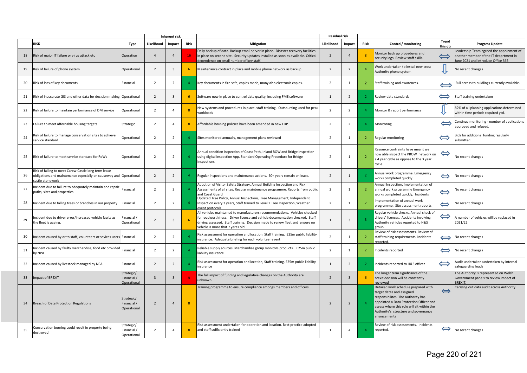|    |                                                                                                                                                |                                                 |                | <b>Inherent risk</b>    |                |                                                                                                                                                                                                                                                                               | <b>Residual risk</b>         |                |                |                                                                                                                                                                                                                                                          |                          |                                                                                                                        |
|----|------------------------------------------------------------------------------------------------------------------------------------------------|-------------------------------------------------|----------------|-------------------------|----------------|-------------------------------------------------------------------------------------------------------------------------------------------------------------------------------------------------------------------------------------------------------------------------------|------------------------------|----------------|----------------|----------------------------------------------------------------------------------------------------------------------------------------------------------------------------------------------------------------------------------------------------------|--------------------------|------------------------------------------------------------------------------------------------------------------------|
|    | RISK                                                                                                                                           | Type                                            | Likelihood     | Impact                  | Risk           | <b>Mitigation</b>                                                                                                                                                                                                                                                             | Likelihood<br>Impact<br>Risk |                |                | Control/monitoring                                                                                                                                                                                                                                       | <b>Trend</b><br>this qtr | <b>Progress Update</b>                                                                                                 |
| 18 | Risk of major IT failure or virus attack etc                                                                                                   | Operation                                       | $\overline{4}$ | $\Delta$                | 16             | Daily backup of data. Backup email server in place. Disaster recovery facilities<br>in place on second site. Security updates installed as soon as available. Critical<br>dependence on small number of key staff.                                                            |                              | $\Delta$       |                | Monitor back up procedures and<br>security logs. Review staff skills.                                                                                                                                                                                    | $\Longleftrightarrow$    | eadership Team agreed the appoinment of<br>another member of the IT deaprtment in<br>une 2021 and introduce Office 365 |
| 19 | Risk of failure of phone system                                                                                                                | Operational                                     | $\overline{2}$ | $\overline{3}$          | 6              | Maintenance contract in place and mobile phone network as backup                                                                                                                                                                                                              |                              | $\overline{2}$ | $\overline{4}$ | Work undertaken to install new cross<br>Authority phone system                                                                                                                                                                                           |                          | No recent changes                                                                                                      |
| 20 | Risk of loss of key documents                                                                                                                  | Financial                                       | $\overline{2}$ | $\overline{2}$          | $\mathbf{A}$   | Key documents in fire safe, copies made, many also electronic copies.                                                                                                                                                                                                         | $\overline{2}$               | $\mathbf{1}$   | $\overline{2}$ | Staff training and awareness.                                                                                                                                                                                                                            | $\Longleftrightarrow$    | Full access to buidlings currently available.                                                                          |
| 21 | Risk of inaccurate GIS and other data for decision making Operational                                                                          |                                                 | $\overline{2}$ | $\overline{3}$          | 6              | Software now in place to control data quality, including FME software                                                                                                                                                                                                         | $\mathbf{1}$                 | $\overline{2}$ | $\overline{2}$ | Review data standards                                                                                                                                                                                                                                    | $\Longleftrightarrow$    | Staff training undertaken                                                                                              |
| 22 | Risk of failure to maintain performance of DM service                                                                                          | Operational                                     | $\overline{2}$ | $\Delta$                | $\overline{8}$ | New systems and procedures in place, staff training. Outsourcing used for peak<br>workloads                                                                                                                                                                                   | $\overline{2}$               | $\overline{2}$ | $\overline{4}$ | Monitor & report performance                                                                                                                                                                                                                             |                          | 82% of all planning applications determined<br>within time periods required ytd.                                       |
| 23 | Failure to meet affordable housing targets                                                                                                     | Strategic                                       | $\overline{2}$ | 4                       | 8              | Affordable housing policies have been amended in new LDP                                                                                                                                                                                                                      | $\overline{2}$               | $\overline{2}$ | $\overline{4}$ | Monitoring                                                                                                                                                                                                                                               | $\Longleftrightarrow$    | Continue monitoring - number of applications<br>approved and refused.                                                  |
| 24 | Risk of failure to manage conservation sites to achieve<br>service standard                                                                    | Operational                                     | $\overline{2}$ | $\overline{2}$          | $\Delta$       | Sites monitored annually, management plans reviewed                                                                                                                                                                                                                           | $\overline{2}$               | $\overline{1}$ | $\overline{2}$ | Regular monitoring                                                                                                                                                                                                                                       | $\Leftrightarrow$        | Bids for additional funding regularly<br>ubmitted.                                                                     |
| 25 | Risk of failure to meet service standard for RoWs                                                                                              | Operational                                     | $\overline{2}$ | $\overline{2}$          | $\overline{4}$ | Annual condition inspection of Coast Path, Inland ROW and Bridge inspection<br>using digital inspection App. Standard Operating Procedure for Bridge<br>Inspections                                                                                                           |                              | $\mathbf{1}$   | $\overline{2}$ | Resource contraints have meant we<br>now able inspect the PROW network on<br>a 4 year cycle as oppose to the 3 year<br>cycle.                                                                                                                            | $\Leftrightarrow$        | No recent changes                                                                                                      |
| 26 | Risk of failing to meet Carew Castle long term lease<br>obligations and maintenance especially on causeway and Operational<br>castle stonework |                                                 | $\overline{2}$ | $\overline{2}$          | $\overline{a}$ | Regular inspections and maintenance actions. 60+ years remain on lease.                                                                                                                                                                                                       | $\overline{2}$               | $\mathbf{1}$   | $\overline{2}$ | Annual work programme. Emergency<br>works completed quickly                                                                                                                                                                                              | ⇔                        | No recent changes                                                                                                      |
| 27 | Incident due to failure to adequately maintain and repair<br>paths, sites and properties                                                       | Financial                                       | $\overline{2}$ | $\overline{\mathbf{z}}$ | $\overline{4}$ | Adoption of Visitor Safety Strategy, Annual Building Inspection and Risk<br>Assessments of all sites. Regular maintenance programme. Reports from public<br>and Coast Guard                                                                                                   | $\overline{2}$               | $\mathbf{1}$   | $\overline{2}$ | Annual Inspection, Implementation of<br>annual work programme Emergency<br>works completed quickly, Incidents                                                                                                                                            | $\Leftrightarrow$        | <b>No recent changes</b>                                                                                               |
| 28 | Incident due to falling trees or branches in our property                                                                                      | Financial                                       | $\overline{2}$ | $\overline{2}$          | $\overline{4}$ | Updated Tree Policy, Annual Inspections, Tree Management, Independent<br>Inspection every 3 years, Staff trained to Level 2 Tree Inspection, Weather<br>event protocols                                                                                                       | $\overline{2}$               | 1              | $\overline{2}$ | Implementation of annual work<br>programme. Site assessment reports                                                                                                                                                                                      | $\Leftrightarrow$        | No recent changes                                                                                                      |
| 29 | Incident due to driver error/increased vehicle faults as<br>the fleet is ageing.                                                               | Financial /<br>Operational                      | $\overline{2}$ | $\overline{3}$          | 6              | All vehicles maintained to manufacturers recommendations. Vehicles checked<br>for roadworthiness. Driver licence and vehicle documentation checked. Staff<br>driving assessed. Staff training. Decision made to renew fleet and ensure no<br>vehicle is more that 7 yeras old |                              | $\overline{3}$ | $\overline{3}$ | Regular vehicle checks. Annual check of<br>drivers' licences. Accidents involving<br>Authority vehicles reported to H&S<br>group.                                                                                                                        | $\Leftrightarrow$        | A number of vehicles will be replaced in<br>2021/22                                                                    |
| 30 | Incident caused by or to staff, volunteers or sevices users Financial                                                                          |                                                 | $\overline{2}$ | $\overline{2}$          | $\overline{4}$ | Risk assessment for operation and location. Staff training. £25m public liability<br>insurance. Adequate briefing for each volunteer event                                                                                                                                    |                              | 1              | $\overline{2}$ | Review of risk assessments. Review of<br>staff training requirements. Incidents<br>eported.                                                                                                                                                              | $\Longleftrightarrow$    | No recent changes                                                                                                      |
| 31 | ncident caused by faulty merchandise, food etc provided<br>by NPA                                                                              | Financial                                       | $\overline{2}$ | $\overline{2}$          | $\overline{4}$ | Reliable supply sources. Merchandise group monitors products. £25m public<br>liability insurance                                                                                                                                                                              |                              | $\mathbf{1}$   | $\overline{2}$ | Incidents reported                                                                                                                                                                                                                                       | $\Longleftrightarrow$    | No recent changes                                                                                                      |
| 32 | Incident caused by livestock managed by NPA                                                                                                    | Financial                                       | $\overline{2}$ | $\overline{2}$          | $\overline{a}$ | Risk assessment for operation and location, Staff training, £25m public liability<br>nsurance                                                                                                                                                                                 | $\mathbf{1}$                 | $\overline{2}$ | $\overline{2}$ | Incidents reported to H&S officer                                                                                                                                                                                                                        | $\Leftrightarrow$        | Audit undertaken undertaken by internal<br>safeguarding leads                                                          |
| 33 | mpact of BREXIT                                                                                                                                | Strategic/<br>Financial /<br><b>Operational</b> | $\overline{3}$ | $\overline{3}$          |                | The full impact of funding and legislative changes on the Authority are<br>unknown.                                                                                                                                                                                           |                              | $\overline{3}$ | -6             | The longer term significance of the<br>brexit decision will be constantly<br>reviewed                                                                                                                                                                    |                          | The Authority is represented on Welsh<br>Government panels to review impact of<br><b>BREXIT.</b>                       |
| 34 | Breach of Data Protection Regulations                                                                                                          | Strategic/<br>Financial /<br>Operational        | $\overline{2}$ | $\overline{4}$          | $\overline{8}$ | Training programme to ensure compliance amongs members and officers                                                                                                                                                                                                           | $\overline{2}$               | $\overline{2}$ | $\overline{A}$ | Detailed work schedule prepared with<br>target dates and assigned<br>responsibilites. The Authority has<br>appointed a Data Protection Officer and<br>assess where this role will sit within the<br>Authority's structure and governance<br>arrangements | $\Longleftrightarrow$    | Carrying out data audit across Authority.                                                                              |
| 35 | Conservation burning could result in property being<br>destroyed                                                                               | Strategic/<br>Financial /<br>Operational        | $\overline{2}$ | $\Delta$                | 8 <sup>°</sup> | Risk assessment undertaken for operation and location. Best practice adopted<br>and staff sufficiently trained                                                                                                                                                                | 1                            | $\Delta$       | $\mathbf{A}$   | Review of risk assessments. Incidents<br>reported.                                                                                                                                                                                                       | $\Longleftrightarrow$    | No recent changes                                                                                                      |